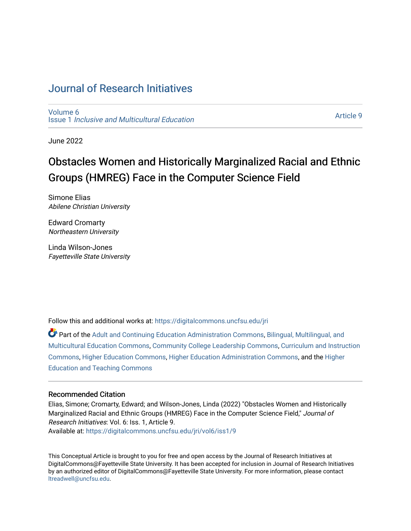## [Journal of Research Initiatives](https://digitalcommons.uncfsu.edu/jri)

[Volume 6](https://digitalcommons.uncfsu.edu/jri/vol6) Issue 1 [Inclusive and Multicultural Education](https://digitalcommons.uncfsu.edu/jri/vol6/iss1) 

[Article 9](https://digitalcommons.uncfsu.edu/jri/vol6/iss1/9) 

June 2022

# Obstacles Women and Historically Marginalized Racial and Ethnic Groups (HMREG) Face in the Computer Science Field

Simone Elias Abilene Christian University

Edward Cromarty Northeastern University

Linda Wilson-Jones Fayetteville State University

Follow this and additional works at: [https://digitalcommons.uncfsu.edu/jri](https://digitalcommons.uncfsu.edu/jri?utm_source=digitalcommons.uncfsu.edu%2Fjri%2Fvol6%2Fiss1%2F9&utm_medium=PDF&utm_campaign=PDFCoverPages) 

Part of the [Adult and Continuing Education Administration Commons](https://network.bepress.com/hgg/discipline/789?utm_source=digitalcommons.uncfsu.edu%2Fjri%2Fvol6%2Fiss1%2F9&utm_medium=PDF&utm_campaign=PDFCoverPages), Bilingual, Multilingual, and [Multicultural Education Commons,](https://network.bepress.com/hgg/discipline/785?utm_source=digitalcommons.uncfsu.edu%2Fjri%2Fvol6%2Fiss1%2F9&utm_medium=PDF&utm_campaign=PDFCoverPages) [Community College Leadership Commons](https://network.bepress.com/hgg/discipline/1039?utm_source=digitalcommons.uncfsu.edu%2Fjri%2Fvol6%2Fiss1%2F9&utm_medium=PDF&utm_campaign=PDFCoverPages), [Curriculum and Instruction](https://network.bepress.com/hgg/discipline/786?utm_source=digitalcommons.uncfsu.edu%2Fjri%2Fvol6%2Fiss1%2F9&utm_medium=PDF&utm_campaign=PDFCoverPages)  [Commons](https://network.bepress.com/hgg/discipline/786?utm_source=digitalcommons.uncfsu.edu%2Fjri%2Fvol6%2Fiss1%2F9&utm_medium=PDF&utm_campaign=PDFCoverPages), [Higher Education Commons](https://network.bepress.com/hgg/discipline/1245?utm_source=digitalcommons.uncfsu.edu%2Fjri%2Fvol6%2Fiss1%2F9&utm_medium=PDF&utm_campaign=PDFCoverPages), [Higher Education Administration Commons](https://network.bepress.com/hgg/discipline/791?utm_source=digitalcommons.uncfsu.edu%2Fjri%2Fvol6%2Fiss1%2F9&utm_medium=PDF&utm_campaign=PDFCoverPages), and the [Higher](https://network.bepress.com/hgg/discipline/806?utm_source=digitalcommons.uncfsu.edu%2Fjri%2Fvol6%2Fiss1%2F9&utm_medium=PDF&utm_campaign=PDFCoverPages)  [Education and Teaching Commons](https://network.bepress.com/hgg/discipline/806?utm_source=digitalcommons.uncfsu.edu%2Fjri%2Fvol6%2Fiss1%2F9&utm_medium=PDF&utm_campaign=PDFCoverPages) 

#### Recommended Citation

Elias, Simone; Cromarty, Edward; and Wilson-Jones, Linda (2022) "Obstacles Women and Historically Marginalized Racial and Ethnic Groups (HMREG) Face in the Computer Science Field," Journal of Research Initiatives: Vol. 6: Iss. 1, Article 9. Available at: [https://digitalcommons.uncfsu.edu/jri/vol6/iss1/9](https://digitalcommons.uncfsu.edu/jri/vol6/iss1/9?utm_source=digitalcommons.uncfsu.edu%2Fjri%2Fvol6%2Fiss1%2F9&utm_medium=PDF&utm_campaign=PDFCoverPages) 

This Conceptual Article is brought to you for free and open access by the Journal of Research Initiatives at DigitalCommons@Fayetteville State University. It has been accepted for inclusion in Journal of Research Initiatives by an authorized editor of DigitalCommons@Fayetteville State University. For more information, please contact [ltreadwell@uncfsu.edu](mailto:ltreadwell@uncfsu.edu).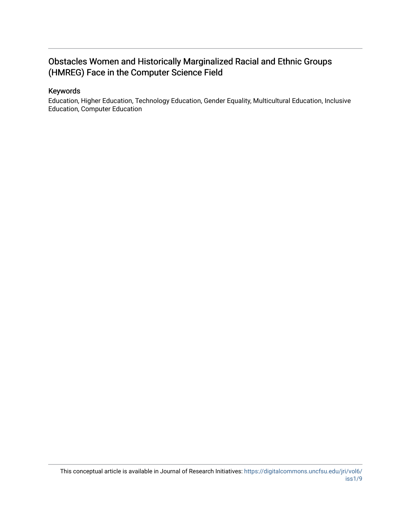### Obstacles Women and Historically Marginalized Racial and Ethnic Groups (HMREG) Face in the Computer Science Field

#### Keywords

Education, Higher Education, Technology Education, Gender Equality, Multicultural Education, Inclusive Education, Computer Education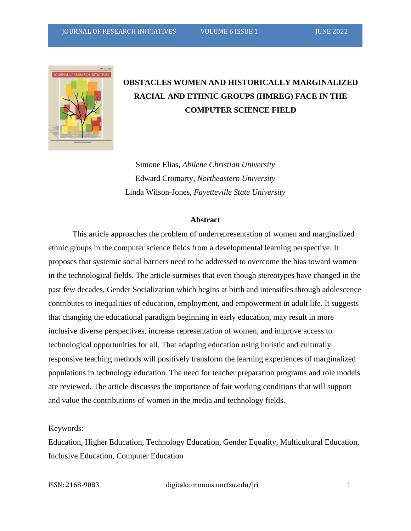

## **OBSTACLES WOMEN AND HISTORICALLY MARGINALIZED RACIAL AND ETHNIC GROUPS (HMREG) FACE IN THE COMPUTER SCIENCE FIELD**

Simone Elias, *Abilene Christian University* Edward Cromarty, *Northeastern University* Linda Wilson-Jones, *Fayetteville State University*

#### **Abstract**

This article approaches the problem of underrepresentation of women and marginalized ethnic groups in the computer science fields from a developmental learning perspective. It proposes that systemic social barriers need to be addressed to overcome the bias toward women in the technological fields. The article surmises that even though stereotypes have changed in the past few decades, Gender Socialization which begins at birth and intensifies through adolescence contributes to inequalities of education, employment, and empowerment in adult life. It suggests that changing the educational paradigm beginning in early education, may result in more inclusive diverse perspectives, increase representation of women, and improve access to technological opportunities for all. That adapting education using holistic and culturally responsive teaching methods will positively transform the learning experiences of marginalized populations in technology education. The need for teacher preparation programs and role models are reviewed. The article discusses the importance of fair working conditions that will support and value the contributions of women in the media and technology fields.

#### Keywords:

Education, Higher Education, Technology Education, Gender Equality, Multicultural Education, Inclusive Education, Computer Education

ISSN: 2168-9083 digitalcommons.uncfsu.edu/jri 1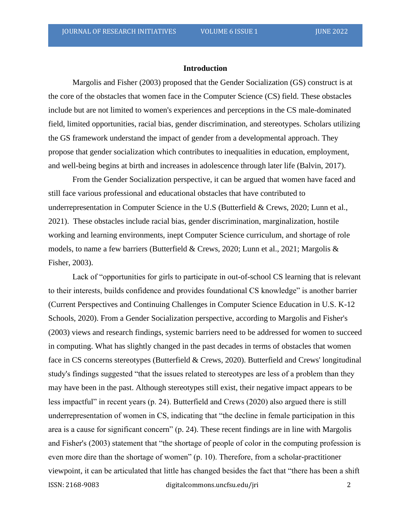#### **Introduction**

Margolis and Fisher (2003) proposed that the Gender Socialization (GS) construct is at the core of the obstacles that women face in the Computer Science (CS) field. These obstacles include but are not limited to women's experiences and perceptions in the CS male-dominated field, limited opportunities, racial bias, gender discrimination, and stereotypes. Scholars utilizing the GS framework understand the impact of gender from a developmental approach. They propose that gender socialization which contributes to inequalities in education, employment, and well-being begins at birth and increases in adolescence through later life (Balvin, 2017).

From the Gender Socialization perspective, it can be argued that women have faced and still face various professional and educational obstacles that have contributed to underrepresentation in Computer Science in the U.S (Butterfield & Crews, 2020; Lunn et al., 2021). These obstacles include racial bias, gender discrimination, marginalization, hostile working and learning environments, inept Computer Science curriculum, and shortage of role models, to name a few barriers (Butterfield & Crews, 2020; Lunn et al., 2021; Margolis & Fisher, 2003).

ISSN: 2168-9083 digitalcommons.uncfsu.edu/jri 2 Lack of "opportunities for girls to participate in out-of-school CS learning that is relevant to their interests, builds confidence and provides foundational CS knowledge" is another barrier (Current Perspectives and Continuing Challenges in Computer Science Education in U.S. K-12 Schools, 2020). From a Gender Socialization perspective, according to Margolis and Fisher's (2003) views and research findings, systemic barriers need to be addressed for women to succeed in computing. What has slightly changed in the past decades in terms of obstacles that women face in CS concerns stereotypes (Butterfield & Crews, 2020). Butterfield and Crews' longitudinal study's findings suggested "that the issues related to stereotypes are less of a problem than they may have been in the past. Although stereotypes still exist, their negative impact appears to be less impactful" in recent years (p. 24). Butterfield and Crews (2020) also argued there is still underrepresentation of women in CS, indicating that "the decline in female participation in this area is a cause for significant concern" (p. 24). These recent findings are in line with Margolis and Fisher's (2003) statement that "the shortage of people of color in the computing profession is even more dire than the shortage of women" (p. 10). Therefore, from a scholar-practitioner viewpoint, it can be articulated that little has changed besides the fact that "there has been a shift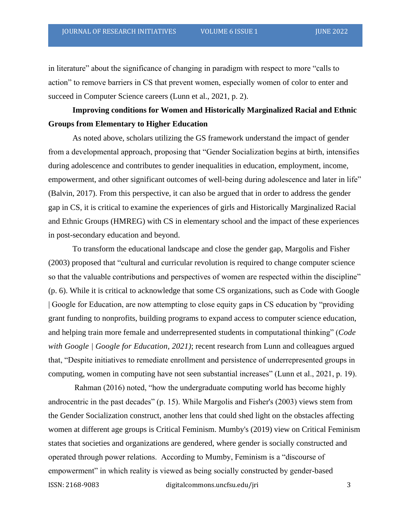in literature" about the significance of changing in paradigm with respect to more "calls to action" to remove barriers in CS that prevent women, especially women of color to enter and succeed in Computer Science careers (Lunn et al., 2021, p. 2).

### **Improving conditions for Women and Historically Marginalized Racial and Ethnic Groups from Elementary to Higher Education**

As noted above, scholars utilizing the GS framework understand the impact of gender from a developmental approach, proposing that "Gender Socialization begins at birth, intensifies during adolescence and contributes to gender inequalities in education, employment, income, empowerment, and other significant outcomes of well-being during adolescence and later in life" (Balvin, 2017). From this perspective, it can also be argued that in order to address the gender gap in CS, it is critical to examine the experiences of girls and Historically Marginalized Racial and Ethnic Groups (HMREG) with CS in elementary school and the impact of these experiences in post-secondary education and beyond.

To transform the educational landscape and close the gender gap, Margolis and Fisher (2003) proposed that "cultural and curricular revolution is required to change computer science so that the valuable contributions and perspectives of women are respected within the discipline" (p. 6). While it is critical to acknowledge that some CS organizations, such as Code with Google | Google for Education, are now attempting to close equity gaps in CS education by "providing grant funding to nonprofits, building programs to expand access to computer science education, and helping train more female and underrepresented students in computational thinking" (*Code with Google | Google for Education, 2021)*; recent research from Lunn and colleagues argued that, "Despite initiatives to remediate enrollment and persistence of underrepresented groups in computing, women in computing have not seen substantial increases" (Lunn et al., 2021, p. 19).

ISSN: 2168-9083 digitalcommons.uncfsu.edu/jri 3 Rahman (2016) noted, "how the undergraduate computing world has become highly androcentric in the past decades" (p. 15). While Margolis and Fisher's (2003) views stem from the Gender Socialization construct, another lens that could shed light on the obstacles affecting women at different age groups is Critical Feminism. Mumby's (2019) view on Critical Feminism states that societies and organizations are gendered, where gender is socially constructed and operated through power relations. According to Mumby, Feminism is a "discourse of empowerment" in which reality is viewed as being socially constructed by gender-based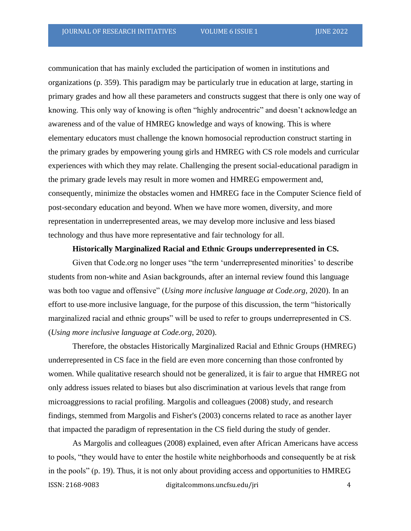communication that has mainly excluded the participation of women in institutions and organizations (p. 359). This paradigm may be particularly true in education at large, starting in primary grades and how all these parameters and constructs suggest that there is only one way of knowing. This only way of knowing is often "highly androcentric" and doesn't acknowledge an awareness and of the value of HMREG knowledge and ways of knowing. This is where elementary educators must challenge the known homosocial reproduction construct starting in the primary grades by empowering young girls and HMREG with CS role models and curricular experiences with which they may relate. Challenging the present social-educational paradigm in the primary grade levels may result in more women and HMREG empowerment and, consequently, minimize the obstacles women and HMREG face in the Computer Science field of post-secondary education and beyond. When we have more women, diversity, and more representation in underrepresented areas, we may develop more inclusive and less biased technology and thus have more representative and fair technology for all.

#### **Historically Marginalized Racial and Ethnic Groups underrepresented in CS.**

Given that Code.org no longer uses "the term 'underrepresented minorities' to describe students from non-white and Asian backgrounds, after an internal review found this language was both too vague and offensive" (*Using more inclusive language at Code.org*, 2020). In an effort to use more inclusive language, for the purpose of this discussion, the term "historically marginalized racial and ethnic groups" will be used to refer to groups underrepresented in CS. (*Using more inclusive language at Code.org*, 2020).

Therefore, the obstacles Historically Marginalized Racial and Ethnic Groups (HMREG) underrepresented in CS face in the field are even more concerning than those confronted by women. While qualitative research should not be generalized, it is fair to argue that HMREG not only address issues related to biases but also discrimination at various levels that range from microaggressions to racial profiling. Margolis and colleagues (2008) study, and research findings, stemmed from Margolis and Fisher's (2003) concerns related to race as another layer that impacted the paradigm of representation in the CS field during the study of gender.

ISSN: 2168-9083 digitalcommons.uncfsu.edu/jri 4 As Margolis and colleagues (2008) explained, even after African Americans have access to pools, "they would have to enter the hostile white neighborhoods and consequently be at risk in the pools" (p. 19). Thus, it is not only about providing access and opportunities to HMREG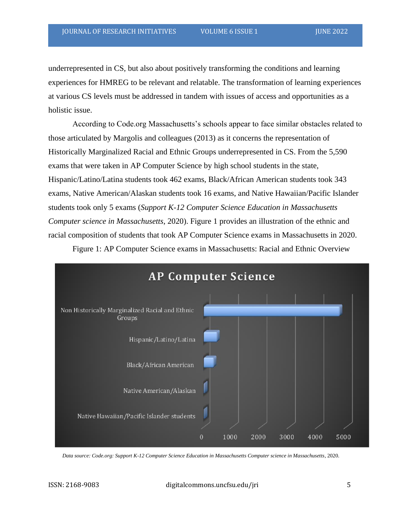underrepresented in CS, but also about positively transforming the conditions and learning experiences for HMREG to be relevant and relatable. The transformation of learning experiences at various CS levels must be addressed in tandem with issues of access and opportunities as a holistic issue.

According to Code.org Massachusetts's schools appear to face similar obstacles related to those articulated by Margolis and colleagues (2013) as it concerns the representation of Historically Marginalized Racial and Ethnic Groups underrepresented in CS. From the 5,590 exams that were taken in AP Computer Science by high school students in the state, Hispanic/Latino/Latina students took 462 exams, Black/African American students took 343 exams, Native American/Alaskan students took 16 exams, and Native Hawaiian/Pacific Islander students took only 5 exams (*Support K-12 Computer Science Education in Massachusetts Computer science in Massachusetts*, 2020). Figure 1 provides an illustration of the ethnic and racial composition of students that took AP Computer Science exams in Massachusetts in 2020.

Figure 1: AP Computer Science exams in Massachusetts: Racial and Ethnic Overview



*Data source: Code.org: Support K-12 Computer Science Education in Massachusetts Computer science in Massachusetts*, 2020.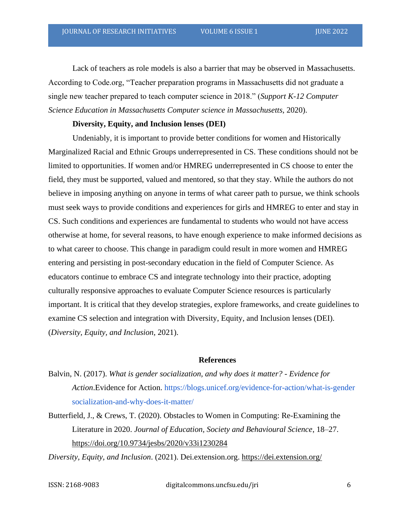Lack of teachers as role models is also a barrier that may be observed in Massachusetts. According to Code.org, "Teacher preparation programs in Massachusetts did not graduate a single new teacher prepared to teach computer science in 2018." (*Support K-12 Computer Science Education in Massachusetts Computer science in Massachusetts*, 2020).

#### **Diversity, Equity, and Inclusion lenses (DEI)**

Undeniably, it is important to provide better conditions for women and Historically Marginalized Racial and Ethnic Groups underrepresented in CS. These conditions should not be limited to opportunities. If women and/or HMREG underrepresented in CS choose to enter the field, they must be supported, valued and mentored, so that they stay. While the authors do not believe in imposing anything on anyone in terms of what career path to pursue, we think schools must seek ways to provide conditions and experiences for girls and HMREG to enter and stay in CS. Such conditions and experiences are fundamental to students who would not have access otherwise at home, for several reasons, to have enough experience to make informed decisions as to what career to choose. This change in paradigm could result in more women and HMREG entering and persisting in post-secondary education in the field of Computer Science. As educators continue to embrace CS and integrate technology into their practice, adopting culturally responsive approaches to evaluate Computer Science resources is particularly important. It is critical that they develop strategies, explore frameworks, and create guidelines to examine CS selection and integration with Diversity, Equity, and Inclusion lenses (DEI). (*Diversity, Equity, and Inclusion*, 2021).

#### **References**

- Balvin, N. (2017). *What is gender socialization, and why does it matter? - Evidence for Action*.Evidence for Action. [https://blogs.unicef.org/evidence-for-action/what-is-gender](https://blogs.unicef.org/evidence-for-action/what-is-gender%20socialization-and-why-does-it-matter/) [socialization-and-why-does-it-matter/](https://blogs.unicef.org/evidence-for-action/what-is-gender%20socialization-and-why-does-it-matter/)
- Butterfield, J., & Crews, T. (2020). Obstacles to Women in Computing: Re-Examining the Literature in 2020. *Journal of Education, Society and Behavioural Science*, 18–27. <https://doi.org/10.9734/jesbs/2020/v33i1230284>

*Diversity, Equity, and Inclusion*. (2021). Dei.extension.org.<https://dei.extension.org/>